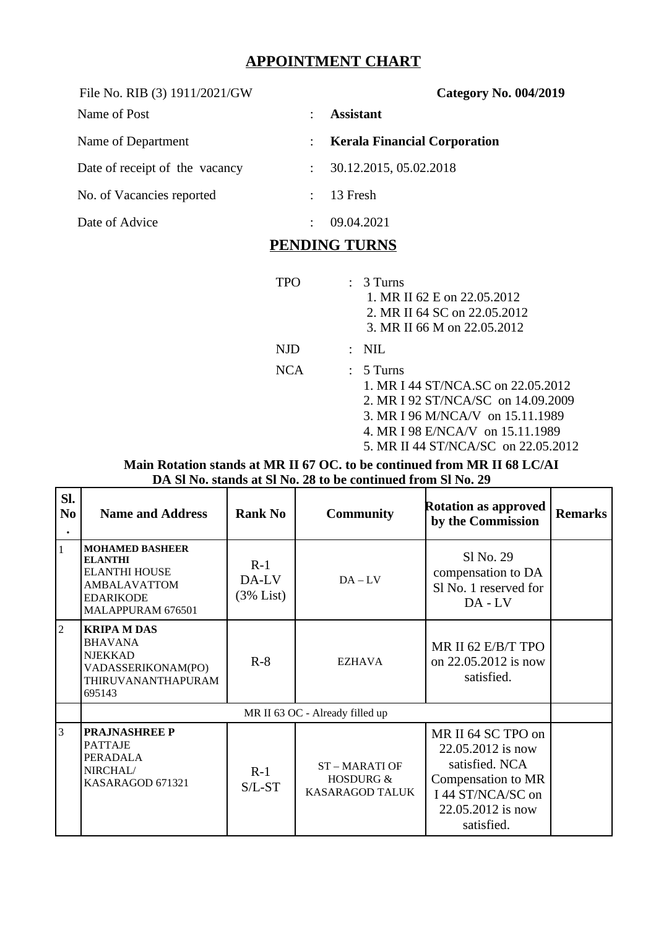# **APPOINTMENT CHART**

| File No. RIB (3) 1911/2021/GW  |                           | <b>Category No. 004/2019</b>        |  |  |
|--------------------------------|---------------------------|-------------------------------------|--|--|
| Name of Post                   | ٠                         | <b>Assistant</b>                    |  |  |
| Name of Department             | $\ddot{\phantom{0}}$      | <b>Kerala Financial Corporation</b> |  |  |
| Date of receipt of the vacancy | $\ddot{\cdot}$            | 30.12.2015, 05.02.2018              |  |  |
| No. of Vacancies reported      | $\mathbb{R}^{\mathbb{Z}}$ | 13 Fresh                            |  |  |
| Date of Advice                 | ÷                         | 09.04.2021                          |  |  |

## **PENDING TURNS**

|            | $\mathcal{L}$ | 3 Turns<br>1. MR II 62 E on 22.05.2012<br>2. MR II 64 SC on 22.05.2012<br>3. MR II 66 M on 22.05.2012                                                                                                  |
|------------|---------------|--------------------------------------------------------------------------------------------------------------------------------------------------------------------------------------------------------|
| NJD.       |               | $\therefore$ NIL                                                                                                                                                                                       |
| <b>NCA</b> |               | $: 5$ Turns<br>1. MR I 44 ST/NCA.SC on 22.05.2012<br>2. MR I 92 ST/NCA/SC on 14.09.2009<br>3. MR I 96 M/NCA/V on 15.11.1989<br>4. MR I 98 E/NCA/V on 15.11.1989<br>5. MR II 44 ST/NCA/SC on 22.05.2012 |

#### **Main Rotation stands at MR II 67 OC. to be continued from MR II 68 LC/AI DA Sl No. stands at Sl No. 28 to be continued from Sl No. 29**

| SI.<br>N <sub>0</sub> | <b>Name and Address</b>                                                                                                          | <b>Rank No</b>              | <b>Community</b>                                               | <b>Rotation as approved</b><br>by the Commission                                                                                        | <b>Remarks</b> |
|-----------------------|----------------------------------------------------------------------------------------------------------------------------------|-----------------------------|----------------------------------------------------------------|-----------------------------------------------------------------------------------------------------------------------------------------|----------------|
| $\mathbf{1}$          | <b>MOHAMED BASHEER</b><br><b>ELANTHI</b><br><b>ELANTHI HOUSE</b><br><b>AMBALAVATTOM</b><br><b>EDARIKODE</b><br>MALAPPURAM 676501 | $R-1$<br>DA-LV<br>(3% List) | $DA - LV$                                                      | Sl No. 29<br>compensation to DA<br>Sl No. 1 reserved for<br>$DA$ - $LV$                                                                 |                |
| $\overline{2}$        | <b>KRIPA M DAS</b><br><b>BHAVANA</b><br><b>NJEKKAD</b><br>VADASSERIKONAM(PO)<br>THIRUVANANTHAPURAM<br>695143                     | $R-8$                       | EZHAVA                                                         | MR II 62 E/B/T TPO<br>on 22,05,2012 is now<br>satisfied.                                                                                |                |
|                       | MR II 63 OC - Already filled up                                                                                                  |                             |                                                                |                                                                                                                                         |                |
| 3                     | <b>PRAJNASHREE P</b><br><b>PATTAJE</b><br>PERADALA<br>NIRCHAL/<br>KASARAGOD 671321                                               | $R-1$<br>$S/L$ - $ST$       | <b>ST-MARATI OF</b><br><b>HOSDURG &amp;</b><br>KASARAGOD TALUK | MR II 64 SC TPO on<br>22.05.2012 is now<br>satisfied. NCA<br>Compensation to MR<br>I 44 ST/NCA/SC on<br>22.05.2012 is now<br>satisfied. |                |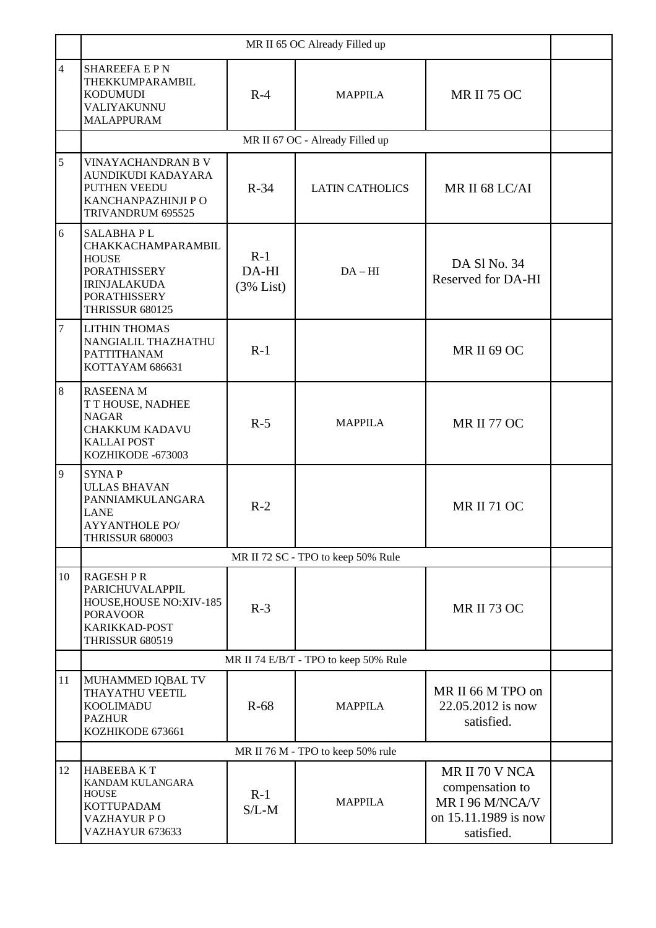|                | MR II 65 OC Already Filled up                                                                                                                         |                             |                                    |                                                                                            |  |  |
|----------------|-------------------------------------------------------------------------------------------------------------------------------------------------------|-----------------------------|------------------------------------|--------------------------------------------------------------------------------------------|--|--|
| $\overline{4}$ | <b>SHAREEFA E P N</b><br>THEKKUMPARAMBIL<br><b>KODUMUDI</b><br>VALIYAKUNNU<br><b>MALAPPURAM</b>                                                       | $R-4$                       | <b>MAPPILA</b>                     | <b>MR II 75 OC</b>                                                                         |  |  |
|                | MR II 67 OC - Already Filled up                                                                                                                       |                             |                                    |                                                                                            |  |  |
| 5              | <b>VINAYACHANDRAN B V</b><br>AUNDIKUDI KADAYARA<br>PUTHEN VEEDU<br>$R-34$<br>KANCHANPAZHINJI P O<br>TRIVANDRUM 695525                                 |                             | <b>LATIN CATHOLICS</b>             | MR II 68 LC/AI                                                                             |  |  |
| 6              | <b>SALABHAPL</b><br>CHAKKACHAMPARAMBIL<br><b>HOUSE</b><br><b>PORATHISSERY</b><br><b>IRINJALAKUDA</b><br><b>PORATHISSERY</b><br><b>THRISSUR 680125</b> | $R-1$<br>DA-HI<br>(3% List) | $DA - HI$                          | DA Sl No. 34<br>Reserved for DA-HI                                                         |  |  |
| 7              | <b>LITHIN THOMAS</b><br>NANGIALIL THAZHATHU<br><b>PATTITHANAM</b><br>KOTTAYAM 686631                                                                  | $R-1$                       |                                    | <b>MR II 69 OC</b>                                                                         |  |  |
| 8              | <b>RASEENA M</b><br>T T HOUSE, NADHEE<br><b>NAGAR</b><br><b>CHAKKUM KADAVU</b><br><b>KALLAI POST</b><br>KOZHIKODE -673003                             | $R-5$                       | <b>MAPPILA</b>                     | MR II 77 OC                                                                                |  |  |
| 9              | <b>SYNAP</b><br><b>ULLAS BHAVAN</b><br>PANNIAMKULANGARA<br><b>LANE</b><br><b>AYYANTHOLE PO/</b><br><b>THRISSUR 680003</b>                             | $R-2$                       |                                    | <b>MR II 71 OC</b>                                                                         |  |  |
|                |                                                                                                                                                       |                             | MR II 72 SC - TPO to keep 50% Rule |                                                                                            |  |  |
| 10             | <b>RAGESHPR</b><br>PARICHUVALAPPIL<br>HOUSE, HOUSE NO: XIV-185<br><b>PORAVOOR</b><br>KARIKKAD-POST<br><b>THRISSUR 680519</b>                          | $R-3$                       |                                    | <b>MR II 73 OC</b>                                                                         |  |  |
|                | MR II 74 E/B/T - TPO to keep 50% Rule                                                                                                                 |                             |                                    |                                                                                            |  |  |
| 11             | MUHAMMED IQBAL TV<br>THAYATHU VEETIL<br><b>KOOLIMADU</b><br><b>PAZHUR</b><br>KOZHIKODE 673661                                                         | $R-68$                      | <b>MAPPILA</b>                     | MR II 66 M TPO on<br>22.05.2012 is now<br>satisfied.                                       |  |  |
|                | MR II 76 M - TPO to keep 50% rule                                                                                                                     |                             |                                    |                                                                                            |  |  |
| 12             | <b>HABEEBAKT</b><br>KANDAM KULANGARA<br><b>HOUSE</b><br><b>KOTTUPADAM</b><br><b>VAZHAYUR PO</b><br>VAZHAYUR 673633                                    | $R-1$<br>$S/L-M$            | <b>MAPPILA</b>                     | MR II 70 V NCA<br>compensation to<br>MR I 96 M/NCA/V<br>on 15.11.1989 is now<br>satisfied. |  |  |